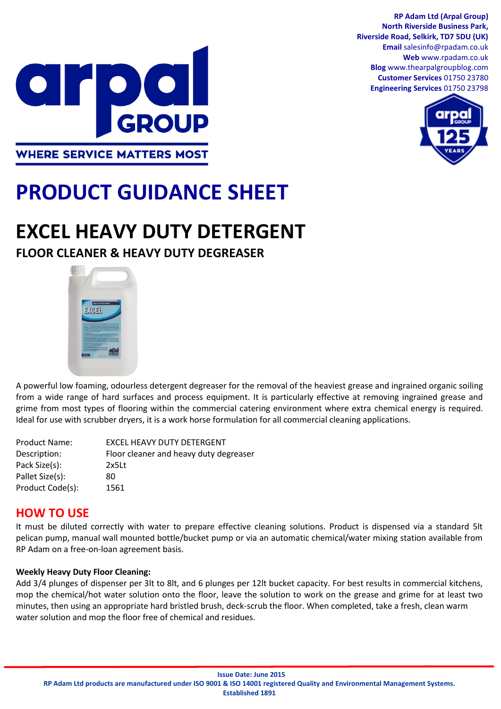



## DO  $\bullet$   $\Gamma$ GROUP **WHERE SERVICE MATTERS MOST**

# **PRODUCT GUIDANCE SHEET**

## **EXCEL HEAVY DUTY DETERGENT**

## **FLOOR CLEANER & HEAVY DUTY DEGREASER**



A powerful low foaming, odourless detergent degreaser for the removal of the heaviest grease and ingrained organic soiling from a wide range of hard surfaces and process equipment. It is particularly effective at removing ingrained grease and grime from most types of flooring within the commercial catering environment where extra chemical energy is required. Ideal for use with scrubber dryers, it is a work horse formulation for all commercial cleaning applications.

| <b>Product Name:</b> | EXCEL HEAVY DUTY DETERGENT             |
|----------------------|----------------------------------------|
| Description:         | Floor cleaner and heavy duty degreaser |
| Pack Size(s):        | $2x5$ Lt                               |
| Pallet Size(s):      | 80                                     |
| Product Code(s):     | 1561                                   |

### **HOW TO USE**

It must be diluted correctly with water to prepare effective cleaning solutions. Product is dispensed via a standard 5lt pelican pump, manual wall mounted bottle/bucket pump or via an automatic chemical/water mixing station available from RP Adam on a free-on-loan agreement basis.

### **Weekly Heavy Duty Floor Cleaning:**

Add 3/4 plunges of dispenser per 3lt to 8lt, and 6 plunges per 12lt bucket capacity. For best results in commercial kitchens, mop the chemical/hot water solution onto the floor, leave the solution to work on the grease and grime for at least two minutes, then using an appropriate hard bristled brush, deck-scrub the floor. When completed, take a fresh, clean warm water solution and mop the floor free of chemical and residues.